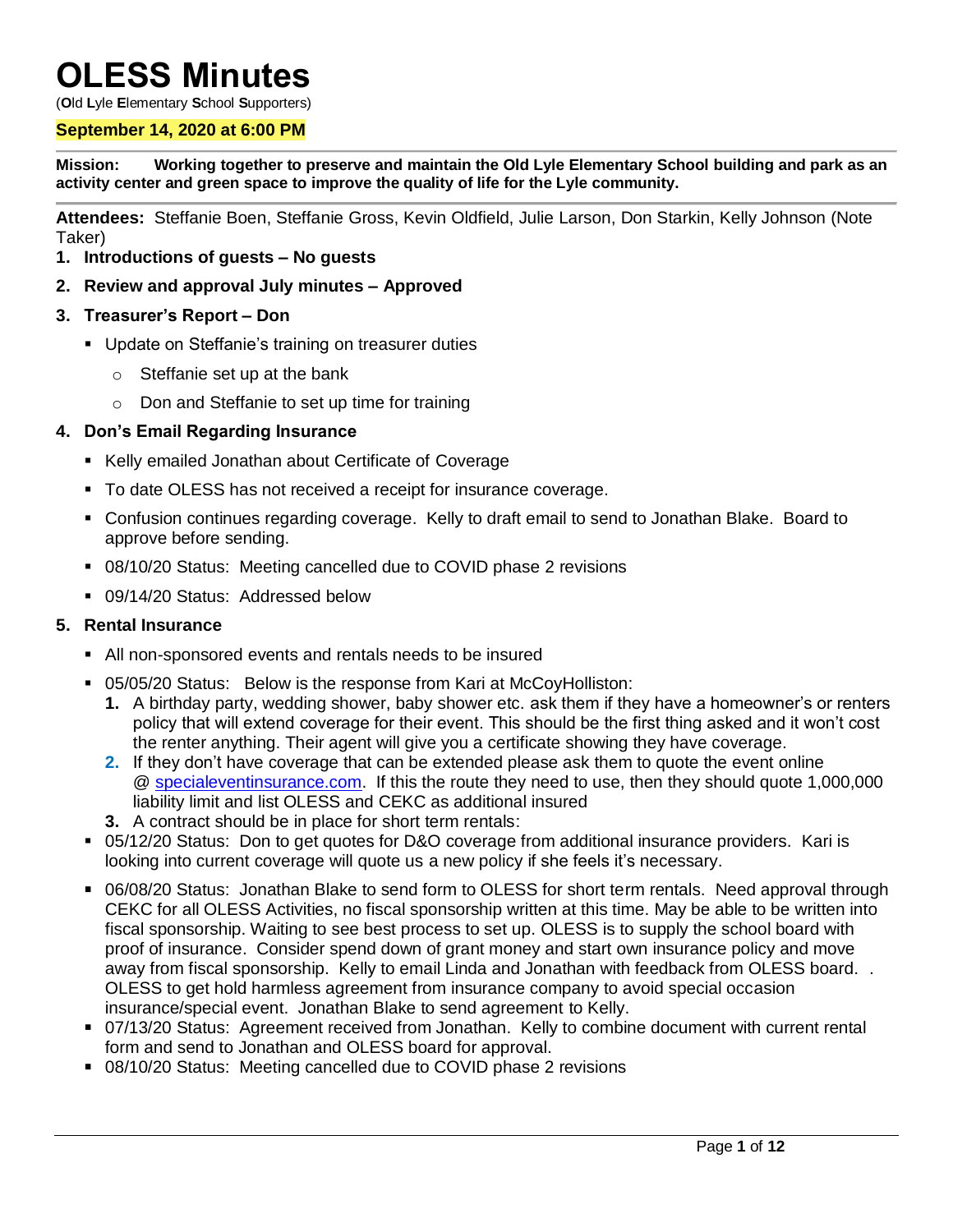# **OLESS Minutes**

(**O**ld **L**yle **E**lementary **S**chool **S**upporters)

#### **September 14, 2020 at 6:00 PM**

**Mission: Working together to preserve and maintain the Old Lyle Elementary School building and park as an activity center and green space to improve the quality of life for the Lyle community.**

**Attendees:** Steffanie Boen, Steffanie Gross, Kevin Oldfield, Julie Larson, Don Starkin, Kelly Johnson (Note Taker)

- **1. Introductions of guests – No guests**
- **2. Review and approval July minutes – Approved**
- **3. Treasurer's Report – Don**
	- **Update on Steffanie's training on treasurer duties** 
		- o Steffanie set up at the bank
		- o Don and Steffanie to set up time for training

#### **4. Don's Email Regarding Insurance**

- Kelly emailed Jonathan about Certificate of Coverage
- To date OLESS has not received a receipt for insurance coverage.
- Confusion continues regarding coverage. Kelly to draft email to send to Jonathan Blake. Board to approve before sending.
- 08/10/20 Status: Meeting cancelled due to COVID phase 2 revisions
- 09/14/20 Status: Addressed below

#### **5. Rental Insurance**

- All non-sponsored events and rentals needs to be insured
- 05/05/20 Status: Below is the response from Kari at McCoyHolliston:
	- **1.** A birthday party, wedding shower, baby shower etc. ask them if they have a homeowner's or renters policy that will extend coverage for their event. This should be the first thing asked and it won't cost the renter anything. Their agent will give you a certificate showing they have coverage.
	- **2.** If they don't have coverage that can be extended please ask them to quote the event online @ [specialeventinsurance.com.](http://specialeventinsurance.com/) If this the route they need to use, then they should quote 1,000,000 liability limit and list OLESS and CEKC as additional insured
	- **3.** A contract should be in place for short term rentals:
- 05/12/20 Status: Don to get quotes for D&O coverage from additional insurance providers. Kari is looking into current coverage will quote us a new policy if she feels it's necessary.
- 06/08/20 Status: Jonathan Blake to send form to OLESS for short term rentals. Need approval through CEKC for all OLESS Activities, no fiscal sponsorship written at this time. May be able to be written into fiscal sponsorship. Waiting to see best process to set up. OLESS is to supply the school board with proof of insurance. Consider spend down of grant money and start own insurance policy and move away from fiscal sponsorship. Kelly to email Linda and Jonathan with feedback from OLESS board. . OLESS to get hold harmless agreement from insurance company to avoid special occasion insurance/special event. Jonathan Blake to send agreement to Kelly.
- 07/13/20 Status: Agreement received from Jonathan. Kelly to combine document with current rental form and send to Jonathan and OLESS board for approval.
- 08/10/20 Status: Meeting cancelled due to COVID phase 2 revisions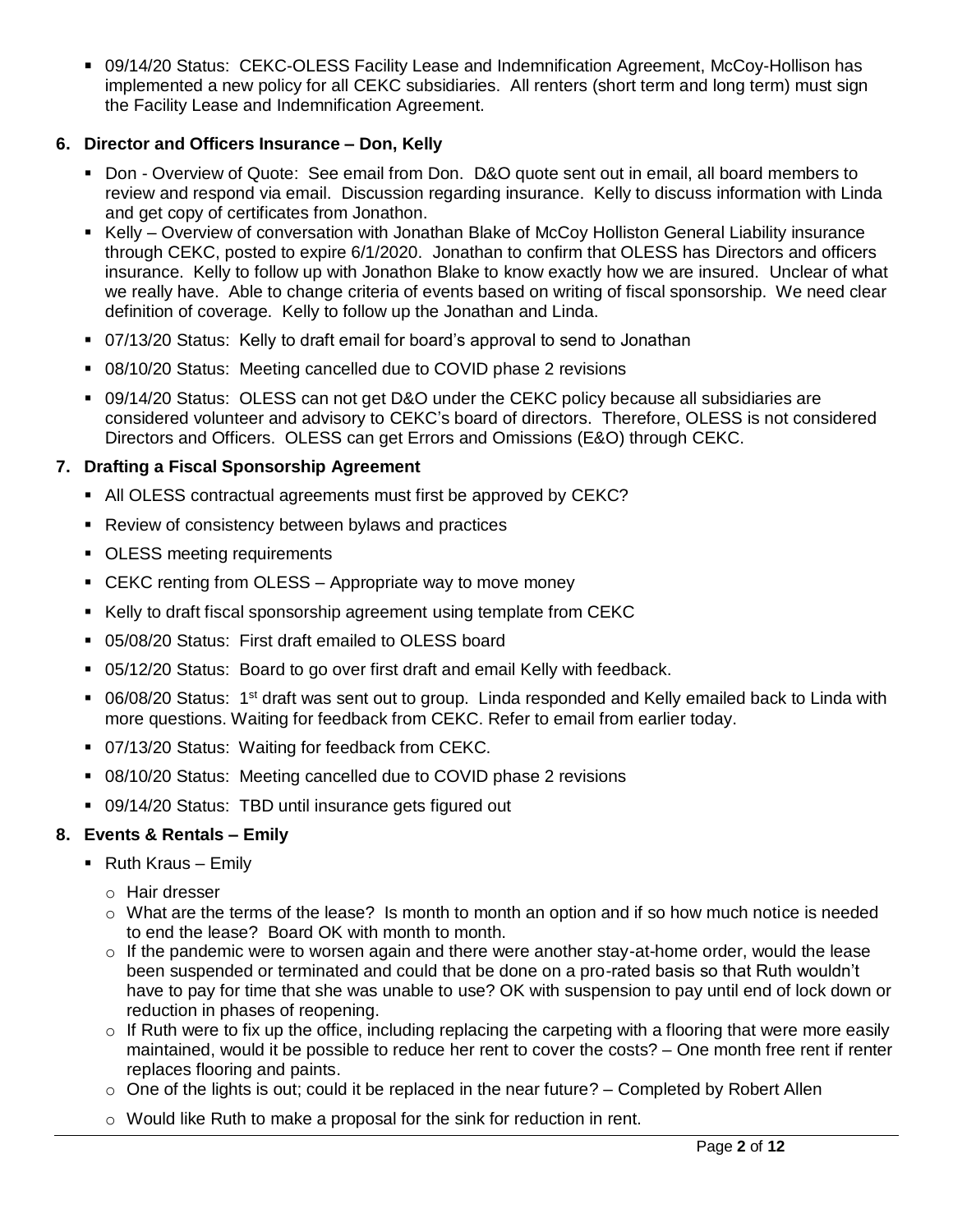09/14/20 Status: CEKC-OLESS Facility Lease and Indemnification Agreement, McCoy-Hollison has implemented a new policy for all CEKC subsidiaries. All renters (short term and long term) must sign the Facility Lease and Indemnification Agreement.

## **6. Director and Officers Insurance – Don, Kelly**

- Don Overview of Quote: See email from Don. D&O quote sent out in email, all board members to review and respond via email. Discussion regarding insurance. Kelly to discuss information with Linda and get copy of certificates from Jonathon.
- Kelly Overview of conversation with Jonathan Blake of McCoy Holliston General Liability insurance through CEKC, posted to expire 6/1/2020. Jonathan to confirm that OLESS has Directors and officers insurance. Kelly to follow up with Jonathon Blake to know exactly how we are insured. Unclear of what we really have. Able to change criteria of events based on writing of fiscal sponsorship. We need clear definition of coverage. Kelly to follow up the Jonathan and Linda.
- 07/13/20 Status: Kelly to draft email for board's approval to send to Jonathan
- 08/10/20 Status: Meeting cancelled due to COVID phase 2 revisions
- 09/14/20 Status: OLESS can not get D&O under the CEKC policy because all subsidiaries are considered volunteer and advisory to CEKC's board of directors. Therefore, OLESS is not considered Directors and Officers. OLESS can get Errors and Omissions (E&O) through CEKC.

## **7. Drafting a Fiscal Sponsorship Agreement**

- All OLESS contractual agreements must first be approved by CEKC?
- **Review of consistency between bylaws and practices**
- OLESS meeting requirements
- CEKC renting from OLESS Appropriate way to move money
- Kelly to draft fiscal sponsorship agreement using template from CEKC
- 05/08/20 Status: First draft emailed to OLESS board
- 05/12/20 Status: Board to go over first draft and email Kelly with feedback.
- 06/08/20 Status: 1<sup>st</sup> draft was sent out to group. Linda responded and Kelly emailed back to Linda with more questions. Waiting for feedback from CEKC. Refer to email from earlier today.
- 07/13/20 Status: Waiting for feedback from CEKC.
- 08/10/20 Status: Meeting cancelled due to COVID phase 2 revisions
- 09/14/20 Status:TBD until insurance gets figured out

## **8. Events & Rentals – Emily**

- $\blacksquare$  Ruth Kraus Emily
	- o Hair dresser
	- $\circ$  What are the terms of the lease? Is month to month an option and if so how much notice is needed to end the lease? Board OK with month to month.
	- $\circ$  If the pandemic were to worsen again and there were another stay-at-home order, would the lease been suspended or terminated and could that be done on a pro-rated basis so that Ruth wouldn't have to pay for time that she was unable to use? OK with suspension to pay until end of lock down or reduction in phases of reopening.
	- $\circ$  If Ruth were to fix up the office, including replacing the carpeting with a flooring that were more easily maintained, would it be possible to reduce her rent to cover the costs? – One month free rent if renter replaces flooring and paints.
	- $\circ$  One of the lights is out; could it be replaced in the near future? Completed by Robert Allen
	- o Would like Ruth to make a proposal for the sink for reduction in rent.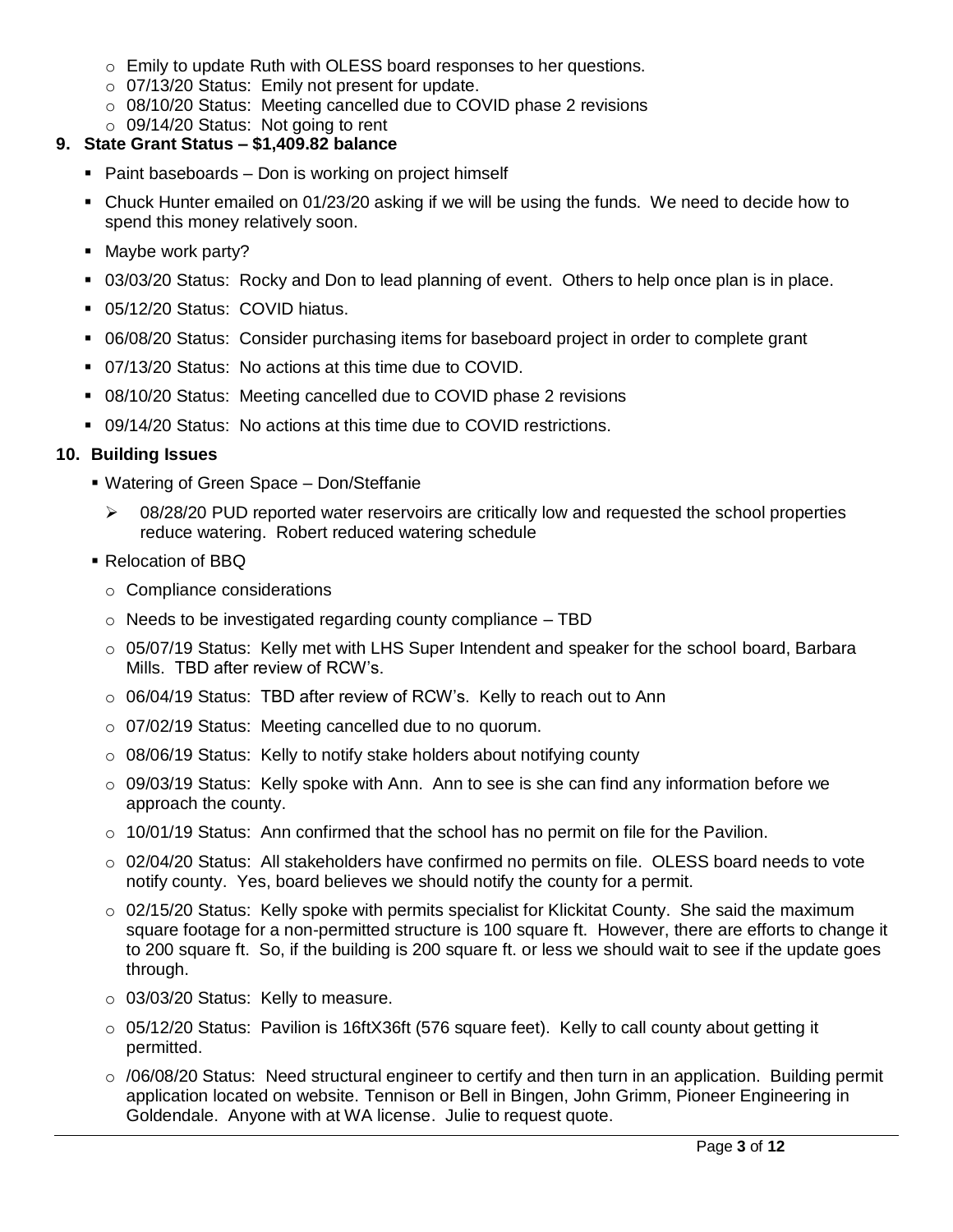- o Emily to update Ruth with OLESS board responses to her questions.
- o 07/13/20 Status: Emily not present for update.
- o 08/10/20 Status: Meeting cancelled due to COVID phase 2 revisions

# o 09/14/20 Status: Not going to rent

## **9. State Grant Status – \$1,409.82 balance**

- Paint baseboards Don is working on project himself
- Chuck Hunter emailed on 01/23/20 asking if we will be using the funds. We need to decide how to spend this money relatively soon.
- Maybe work party?
- 03/03/20 Status: Rocky and Don to lead planning of event. Others to help once plan is in place.
- 05/12/20 Status: COVID hiatus.
- 06/08/20 Status: Consider purchasing items for baseboard project in order to complete grant
- 07/13/20 Status: No actions at this time due to COVID.
- 08/10/20 Status: Meeting cancelled due to COVID phase 2 revisions
- 09/14/20 Status: No actions at this time due to COVID restrictions.

# **10. Building Issues**

- Watering of Green Space Don/Steffanie
	- $\geq$  08/28/20 PUD reported water reservoirs are critically low and requested the school properties reduce watering. Robert reduced watering schedule
- **Relocation of BBQ** 
	- o Compliance considerations
	- $\circ$  Needs to be investigated regarding county compliance  $-$  TBD
	- $\circ$  05/07/19 Status: Kelly met with LHS Super Intendent and speaker for the school board, Barbara Mills. TBD after review of RCW's.
	- o 06/04/19 Status: TBD after review of RCW's. Kelly to reach out to Ann
	- o 07/02/19 Status: Meeting cancelled due to no quorum.
	- o 08/06/19 Status: Kelly to notify stake holders about notifying county
	- $\circ$  09/03/19 Status: Kelly spoke with Ann. Ann to see is she can find any information before we approach the county.
	- $\circ$  10/01/19 Status: Ann confirmed that the school has no permit on file for the Pavilion.
	- $\circ$  02/04/20 Status: All stakeholders have confirmed no permits on file. OLESS board needs to vote notify county. Yes, board believes we should notify the county for a permit.
	- $\circ$  02/15/20 Status: Kelly spoke with permits specialist for Klickitat County. She said the maximum square footage for a non-permitted structure is 100 square ft. However, there are efforts to change it to 200 square ft. So, if the building is 200 square ft. or less we should wait to see if the update goes through.
	- o 03/03/20 Status: Kelly to measure.
	- $\circ$  05/12/20 Status: Pavilion is 16ftX36ft (576 square feet). Kelly to call county about getting it permitted.
	- $\circ$  /06/08/20 Status: Need structural engineer to certify and then turn in an application. Building permit application located on website. Tennison or Bell in Bingen, John Grimm, Pioneer Engineering in Goldendale. Anyone with at WA license. Julie to request quote.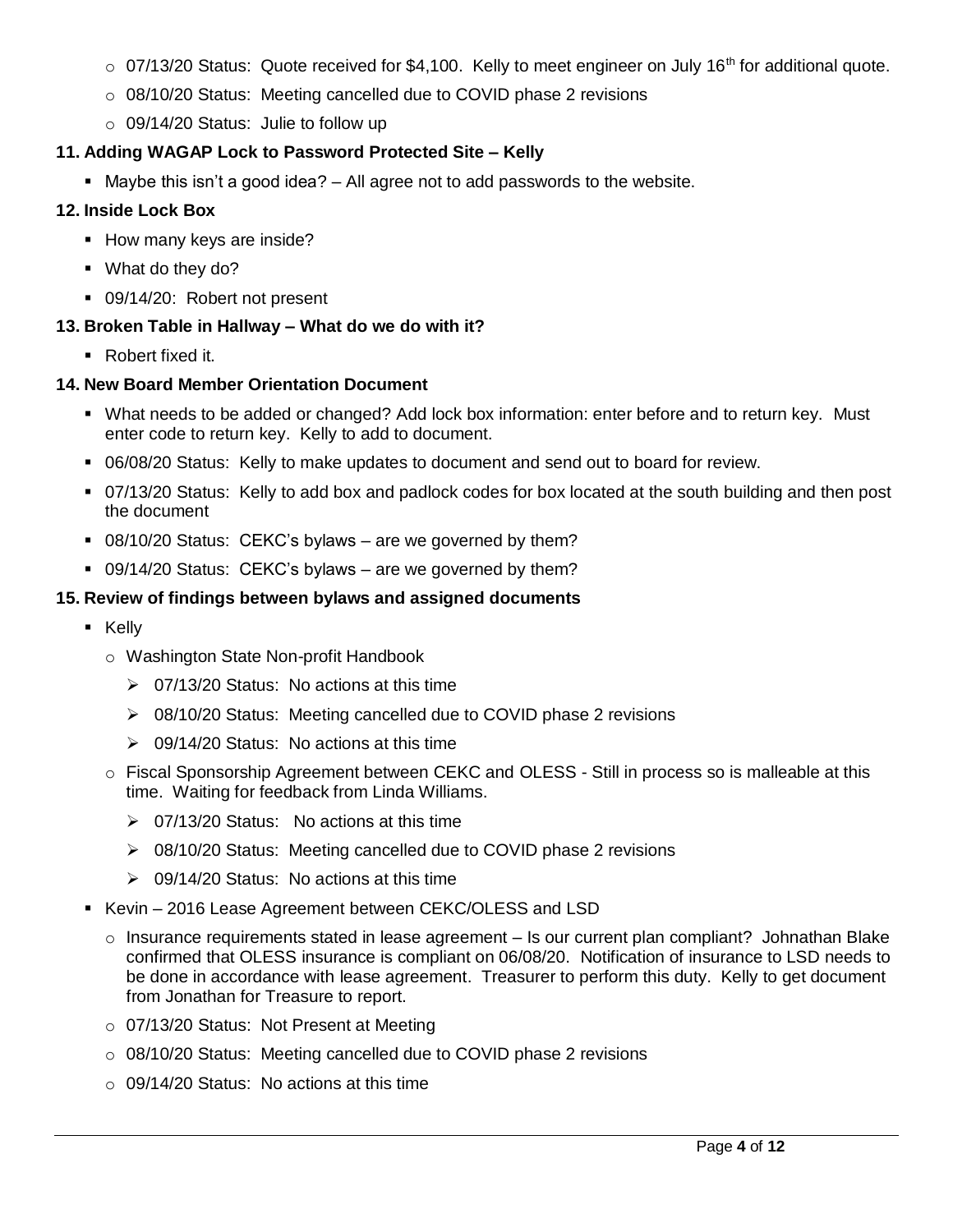- $\circ$  07/13/20 Status: Quote received for \$4,100. Kelly to meet engineer on July 16<sup>th</sup> for additional quote.
- o 08/10/20 Status: Meeting cancelled due to COVID phase 2 revisions
- o 09/14/20 Status: Julie to follow up

## **11. Adding WAGAP Lock to Password Protected Site – Kelly**

 $\blacksquare$  Maybe this isn't a good idea?  $-$  All agree not to add passwords to the website.

## **12. Inside Lock Box**

- **How many keys are inside?**
- What do they do?
- 09/14/20: Robert not present

## **13. Broken Table in Hallway – What do we do with it?**

Robert fixed it.

## **14. New Board Member Orientation Document**

- What needs to be added or changed? Add lock box information: enter before and to return key. Must enter code to return key. Kelly to add to document.
- 06/08/20 Status: Kelly to make updates to document and send out to board for review.
- 07/13/20 Status: Kelly to add box and padlock codes for box located at the south building and then post the document
- 08/10/20 Status: CEKC's bylaws are we governed by them?
- 09/14/20 Status: CEKC's bylaws are we governed by them?

## **15. Review of findings between bylaws and assigned documents**

- **E** Kelly
	- o Washington State Non-profit Handbook
		- $\geq$  07/13/20 Status: No actions at this time
		- 08/10/20 Status: Meeting cancelled due to COVID phase 2 revisions
		- $\geq 09/14/20$  Status: No actions at this time
	- o Fiscal Sponsorship Agreement between CEKC and OLESS Still in process so is malleable at this time. Waiting for feedback from Linda Williams.
		- 07/13/20 Status: No actions at this time
		- ▶ 08/10/20 Status: Meeting cancelled due to COVID phase 2 revisions
		- $\geq 09/14/20$  Status: No actions at this time
- Kevin 2016 Lease Agreement between CEKC/OLESS and LSD
	- $\circ$  Insurance requirements stated in lease agreement Is our current plan compliant? Johnathan Blake confirmed that OLESS insurance is compliant on 06/08/20. Notification of insurance to LSD needs to be done in accordance with lease agreement. Treasurer to perform this duty. Kelly to get document from Jonathan for Treasure to report.
	- o 07/13/20 Status: Not Present at Meeting
	- o 08/10/20 Status: Meeting cancelled due to COVID phase 2 revisions
	- o 09/14/20 Status: No actions at this time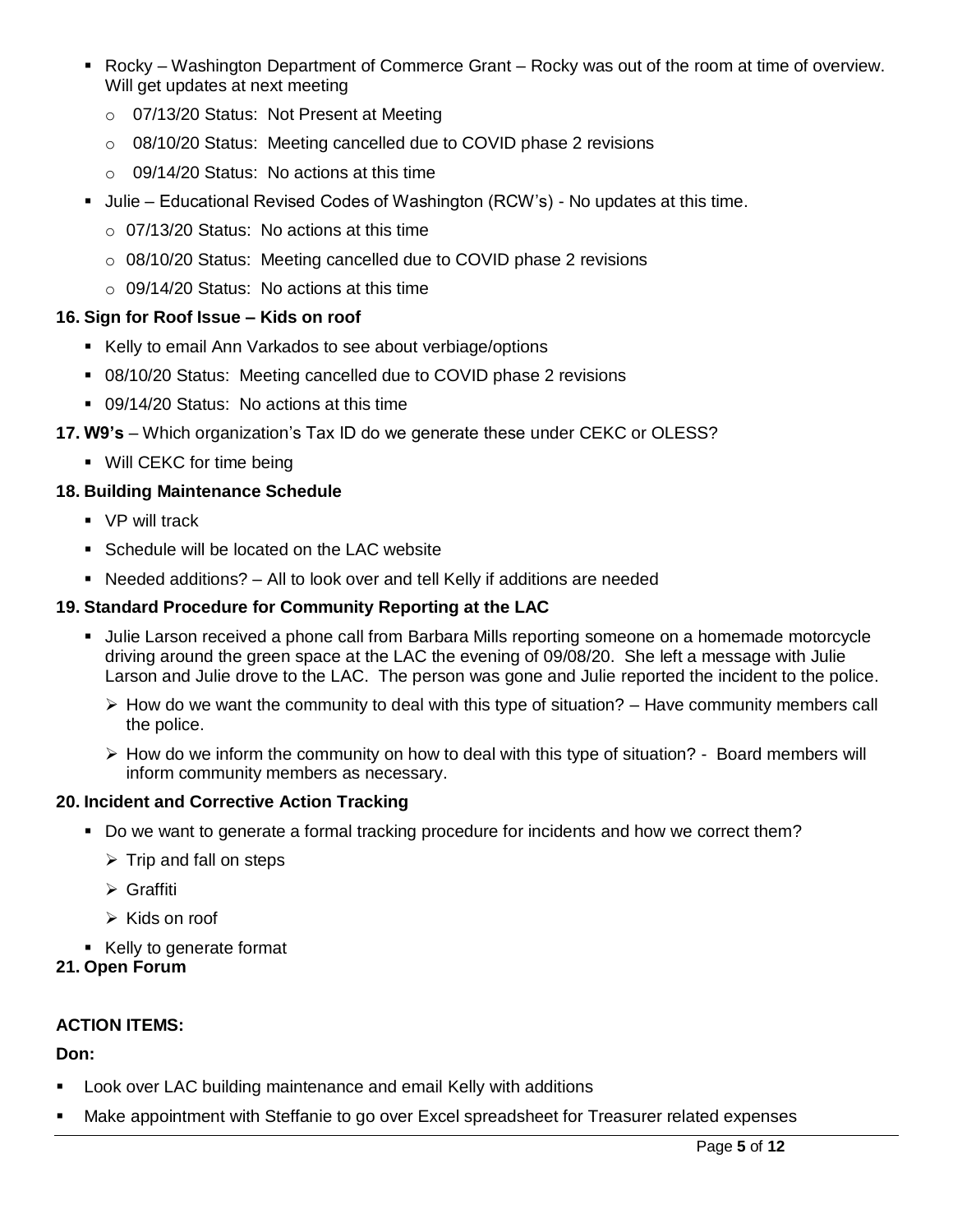- Rocky Washington Department of Commerce Grant Rocky was out of the room at time of overview. Will get updates at next meeting
	- o 07/13/20 Status: Not Present at Meeting
	- $\circ$  08/10/20 Status: Meeting cancelled due to COVID phase 2 revisions
	- $\circ$  09/14/20 Status: No actions at this time
- **Julie Educational Revised Codes of Washington (RCW's) No updates at this time.** 
	- o 07/13/20 Status: No actions at this time
	- o 08/10/20 Status: Meeting cancelled due to COVID phase 2 revisions
	- $\circ$  09/14/20 Status: No actions at this time

# **16. Sign for Roof Issue – Kids on roof**

- Kelly to email Ann Varkados to see about verbiage/options
- 08/10/20 Status: Meeting cancelled due to COVID phase 2 revisions
- 09/14/20 Status: No actions at this time
- **17. W9's**  Which organization's Tax ID do we generate these under CEKC or OLESS?
	- Will CEKC for time being

# **18. Building Maintenance Schedule**

- **VP** will track
- Schedule will be located on the LAC website
- Needed additions? All to look over and tell Kelly if additions are needed

# **19. Standard Procedure for Community Reporting at the LAC**

- Julie Larson received a phone call from Barbara Mills reporting someone on a homemade motorcycle driving around the green space at the LAC the evening of 09/08/20. She left a message with Julie Larson and Julie drove to the LAC. The person was gone and Julie reported the incident to the police.
	- $\triangleright$  How do we want the community to deal with this type of situation? Have community members call the police.
	- $\triangleright$  How do we inform the community on how to deal with this type of situation? Board members will inform community members as necessary.

## **20. Incident and Corrective Action Tracking**

- Do we want to generate a formal tracking procedure for incidents and how we correct them?
	- $\triangleright$  Trip and fall on steps
	- Graffiti
	- $\triangleright$  Kids on roof
- Kelly to generate format

# **21. Open Forum**

# **ACTION ITEMS:**

# **Don:**

- Look over LAC building maintenance and email Kelly with additions
- Make appointment with Steffanie to go over Excel spreadsheet for Treasurer related expenses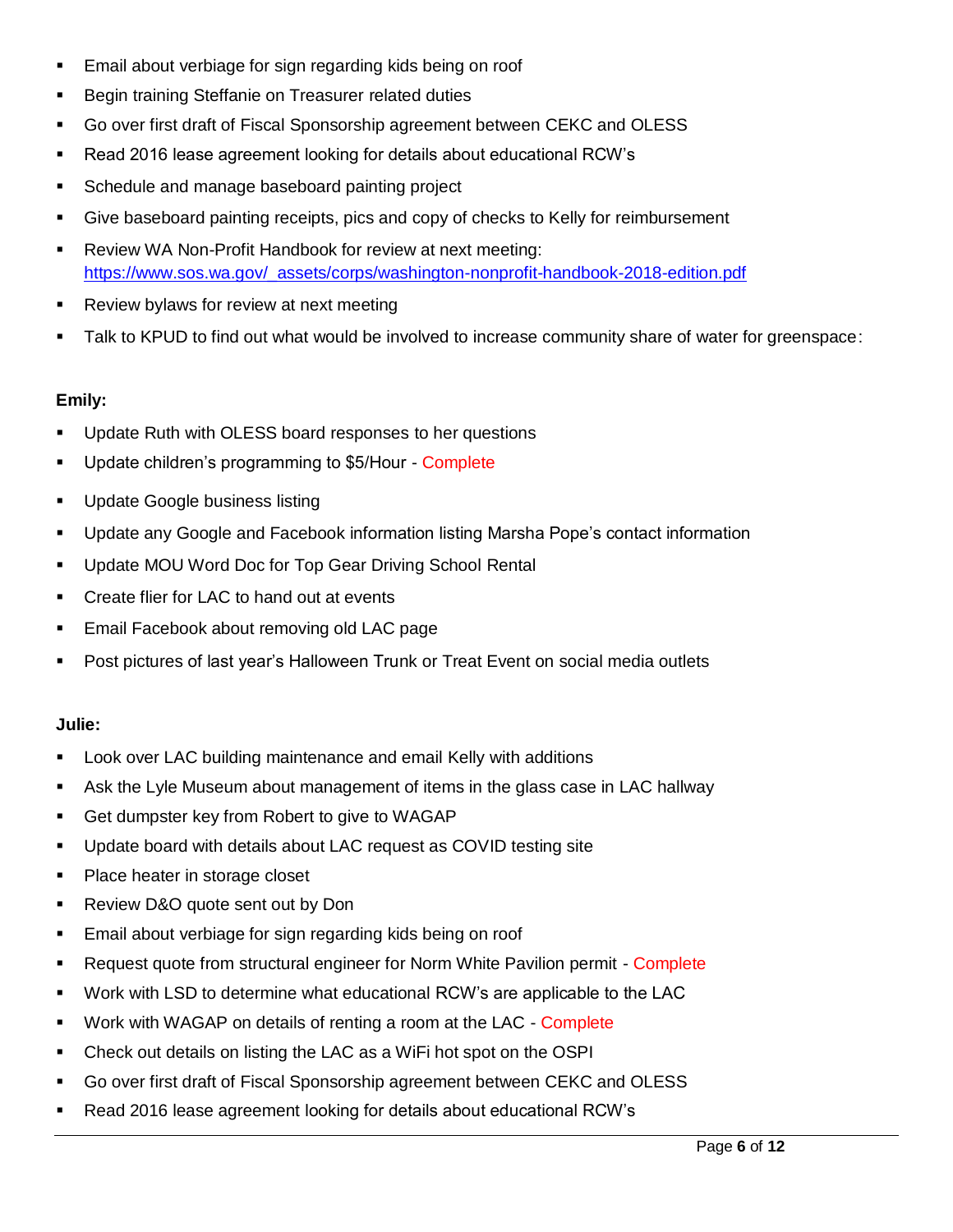- Email about verbiage for sign regarding kids being on roof
- Begin training Steffanie on Treasurer related duties
- Go over first draft of Fiscal Sponsorship agreement between CEKC and OLESS
- Read 2016 lease agreement looking for details about educational RCW's
- **Schedule and manage baseboard painting project**
- Give baseboard painting receipts, pics and copy of checks to Kelly for reimbursement
- Review WA Non-Profit Handbook for review at next meeting: [https://www.sos.wa.gov/\\_assets/corps/washington-nonprofit-handbook-2018-edition.pdf](https://www.sos.wa.gov/_assets/corps/washington-nonprofit-handbook-2018-edition.pdf)
- **Review bylaws for review at next meeting**
- Talk to KPUD to find out what would be involved to increase community share of water for greenspace:

## **Emily:**

- Update Ruth with OLESS board responses to her questions
- **Update children's programming to \$5/Hour Complete**
- **Update Google business listing**
- Update any Google and Facebook information listing Marsha Pope's contact information
- **Update MOU Word Doc for Top Gear Driving School Rental**
- **•** Create flier for LAC to hand out at events
- **Email Facebook about removing old LAC page**
- Post pictures of last year's Halloween Trunk or Treat Event on social media outlets

## **Julie:**

- **-** Look over LAC building maintenance and email Kelly with additions
- Ask the Lyle Museum about management of items in the glass case in LAC hallway
- Get dumpster key from Robert to give to WAGAP
- Update board with details about LAC request as COVID testing site
- Place heater in storage closet
- **Review D&O quote sent out by Don**
- **Email about verbiage for sign regarding kids being on roof**
- Request quote from structural engineer for Norm White Pavilion permit Complete
- Work with LSD to determine what educational RCW's are applicable to the LAC
- **Work with WAGAP on details of renting a room at the LAC Complete**
- Check out details on listing the LAC as a WiFi hot spot on the OSPI
- Go over first draft of Fiscal Sponsorship agreement between CEKC and OLESS
- Read 2016 lease agreement looking for details about educational RCW's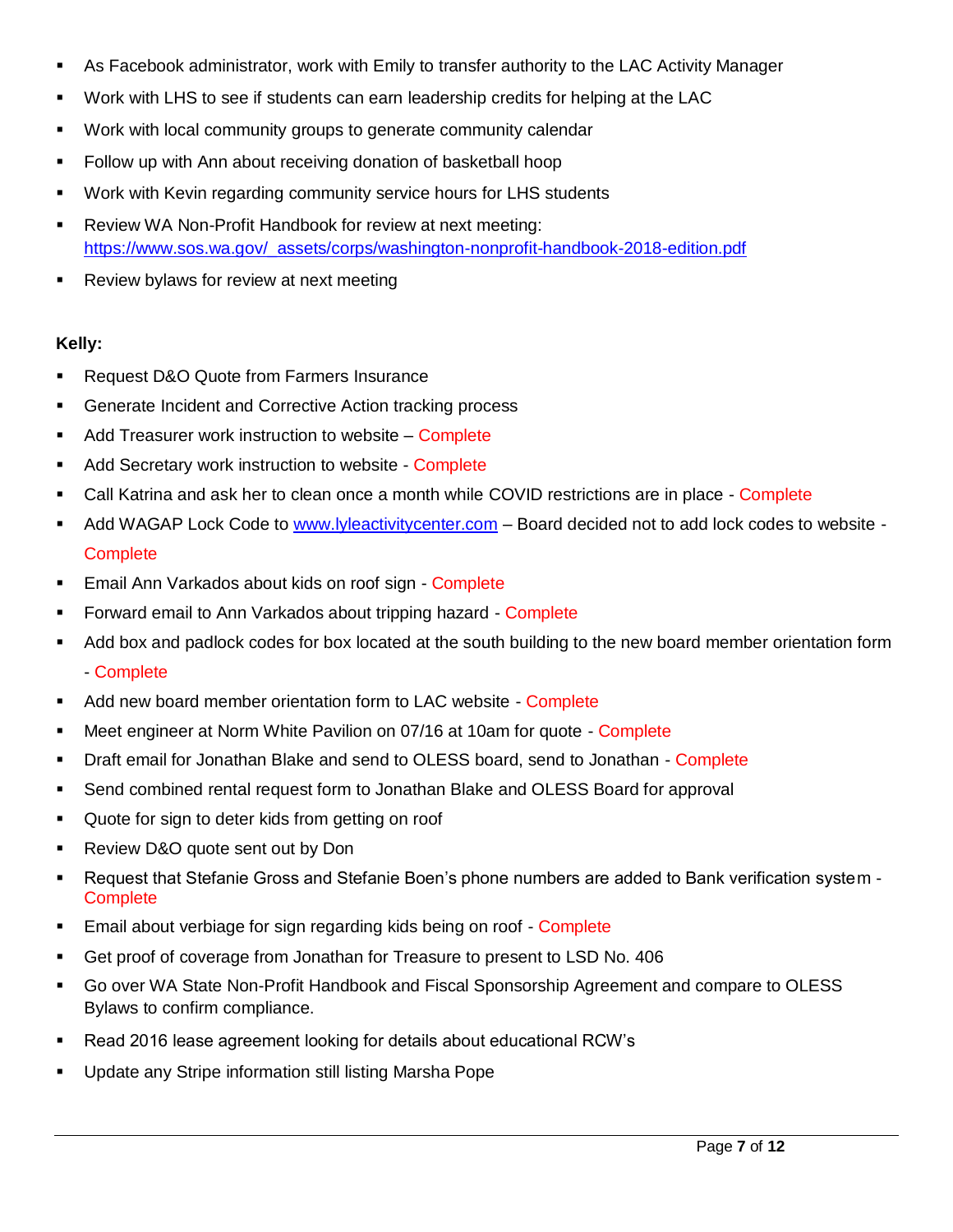- As Facebook administrator, work with Emily to transfer authority to the LAC Activity Manager
- Work with LHS to see if students can earn leadership credits for helping at the LAC
- Work with local community groups to generate community calendar
- **Follow up with Ann about receiving donation of basketball hoop**
- Work with Kevin regarding community service hours for LHS students
- Review WA Non-Profit Handbook for review at next meeting: [https://www.sos.wa.gov/\\_assets/corps/washington-nonprofit-handbook-2018-edition.pdf](https://www.sos.wa.gov/_assets/corps/washington-nonprofit-handbook-2018-edition.pdf)
- **Review bylaws for review at next meeting**

## **Kelly:**

- Request D&O Quote from Farmers Insurance
- **Generate Incident and Corrective Action tracking process**
- Add Treasurer work instruction to website Complete
- Add Secretary work instruction to website Complete
- Call Katrina and ask her to clean once a month while COVID restrictions are in place Complete
- Add WAGAP Lock Code to [www.lyleactivitycenter.com](http://www.lyleactivitycenter.com/) Board decided not to add lock codes to website **Complete**
- **Email Ann Varkados about kids on roof sign Complete**
- Forward email to Ann Varkados about tripping hazard Complete
- Add box and padlock codes for box located at the south building to the new board member orientation form
	- Complete
- Add new board member orientation form to LAC website Complete
- **Meet engineer at Norm White Pavilion on 07/16 at 10am for quote Complete**
- **Draft email for Jonathan Blake and send to OLESS board, send to Jonathan Complete**
- Send combined rental request form to Jonathan Blake and OLESS Board for approval
- **Quote for sign to deter kids from getting on roof**
- **Review D&O quote sent out by Don**
- Request that Stefanie Gross and Stefanie Boen's phone numbers are added to Bank verification system **Complete**
- **Email about verbiage for sign regarding kids being on roof Complete**
- Get proof of coverage from Jonathan for Treasure to present to LSD No. 406
- Go over WA State Non-Profit Handbook and Fiscal Sponsorship Agreement and compare to OLESS Bylaws to confirm compliance.
- Read 2016 lease agreement looking for details about educational RCW's
- Update any Stripe information still listing Marsha Pope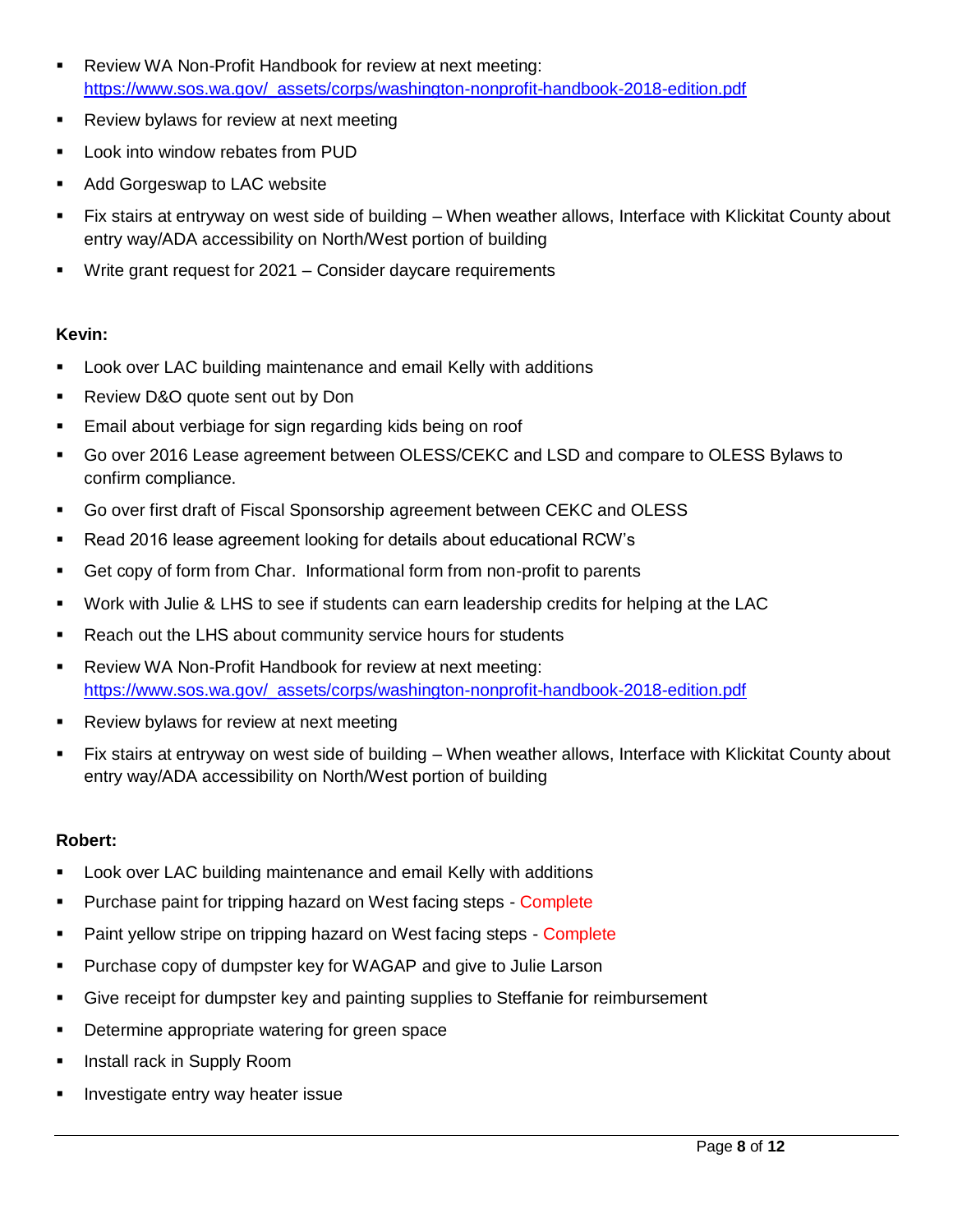- Review WA Non-Profit Handbook for review at next meeting: [https://www.sos.wa.gov/\\_assets/corps/washington-nonprofit-handbook-2018-edition.pdf](https://www.sos.wa.gov/_assets/corps/washington-nonprofit-handbook-2018-edition.pdf)
- **Review bylaws for review at next meeting**
- **-** Look into window rebates from PUD
- **Add Gorgeswap to LAC website**
- Fix stairs at entryway on west side of building When weather allows, Interface with Klickitat County about entry way/ADA accessibility on North/West portion of building
- Write grant request for 2021 Consider daycare requirements

## **Kevin:**

- Look over LAC building maintenance and email Kelly with additions
- **Review D&O quote sent out by Don**
- **Email about verbiage for sign regarding kids being on roof**
- Go over 2016 Lease agreement between OLESS/CEKC and LSD and compare to OLESS Bylaws to confirm compliance.
- Go over first draft of Fiscal Sponsorship agreement between CEKC and OLESS
- Read 2016 lease agreement looking for details about educational RCW's
- Get copy of form from Char. Informational form from non-profit to parents
- Work with Julie & LHS to see if students can earn leadership credits for helping at the LAC
- **Reach out the LHS about community service hours for students**
- Review WA Non-Profit Handbook for review at next meeting: [https://www.sos.wa.gov/\\_assets/corps/washington-nonprofit-handbook-2018-edition.pdf](https://www.sos.wa.gov/_assets/corps/washington-nonprofit-handbook-2018-edition.pdf)
- **Review bylaws for review at next meeting**
- Fix stairs at entryway on west side of building When weather allows, Interface with Klickitat County about entry way/ADA accessibility on North/West portion of building

## **Robert:**

- Look over LAC building maintenance and email Kelly with additions
- **Purchase paint for tripping hazard on West facing steps Complete**
- **Paint yellow stripe on tripping hazard on West facing steps Complete**
- **Purchase copy of dumpster key for WAGAP and give to Julie Larson**
- Give receipt for dumpster key and painting supplies to Steffanie for reimbursement
- **•** Determine appropriate watering for green space
- **Install rack in Supply Room**
- **Investigate entry way heater issue**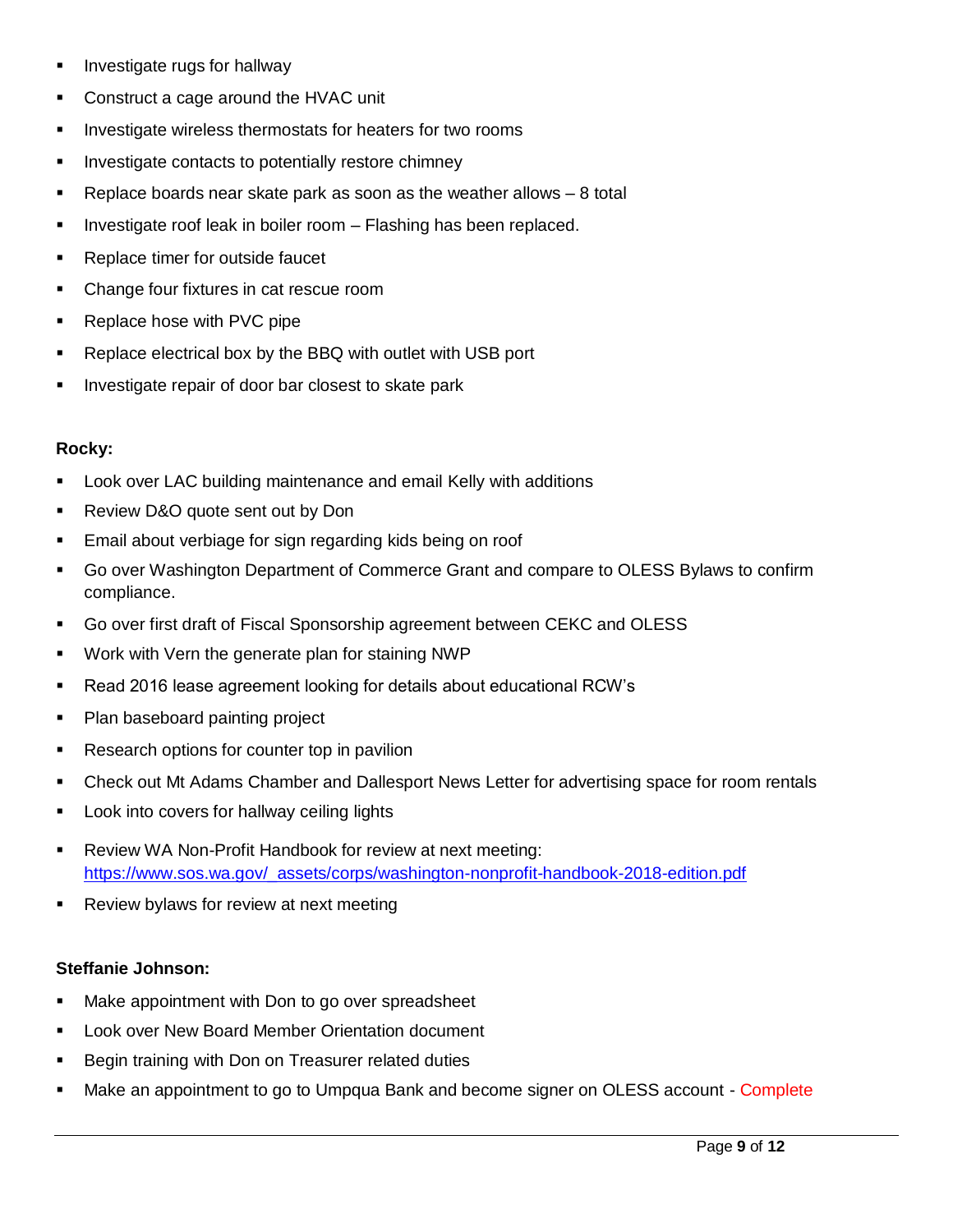- **I** Investigate rugs for hallway
- **Construct a cage around the HVAC unit**
- **Investigate wireless thermostats for heaters for two rooms**
- **Investigate contacts to potentially restore chimney**
- Replace boards near skate park as soon as the weather allows 8 total
- **Investigate roof leak in boiler room Flashing has been replaced.**
- **Replace timer for outside faucet**
- Change four fixtures in cat rescue room
- Replace hose with PVC pipe
- Replace electrical box by the BBQ with outlet with USB port
- **Investigate repair of door bar closest to skate park**

#### **Rocky:**

- Look over LAC building maintenance and email Kelly with additions
- **Review D&O quote sent out by Don**
- **Email about verbiage for sign regarding kids being on roof**
- Go over Washington Department of Commerce Grant and compare to OLESS Bylaws to confirm compliance.
- Go over first draft of Fiscal Sponsorship agreement between CEKC and OLESS
- Work with Vern the generate plan for staining NWP
- Read 2016 lease agreement looking for details about educational RCW's
- Plan baseboard painting project
- Research options for counter top in pavilion
- Check out Mt Adams Chamber and Dallesport News Letter for advertising space for room rentals
- **Look into covers for hallway ceiling lights**
- Review WA Non-Profit Handbook for review at next meeting: [https://www.sos.wa.gov/\\_assets/corps/washington-nonprofit-handbook-2018-edition.pdf](https://www.sos.wa.gov/_assets/corps/washington-nonprofit-handbook-2018-edition.pdf)
- **Review bylaws for review at next meeting**

## **Steffanie Johnson:**

- Make appointment with Don to go over spreadsheet
- Look over New Board Member Orientation document
- **Begin training with Don on Treasurer related duties**
- Make an appointment to go to Umpqua Bank and become signer on OLESS account Complete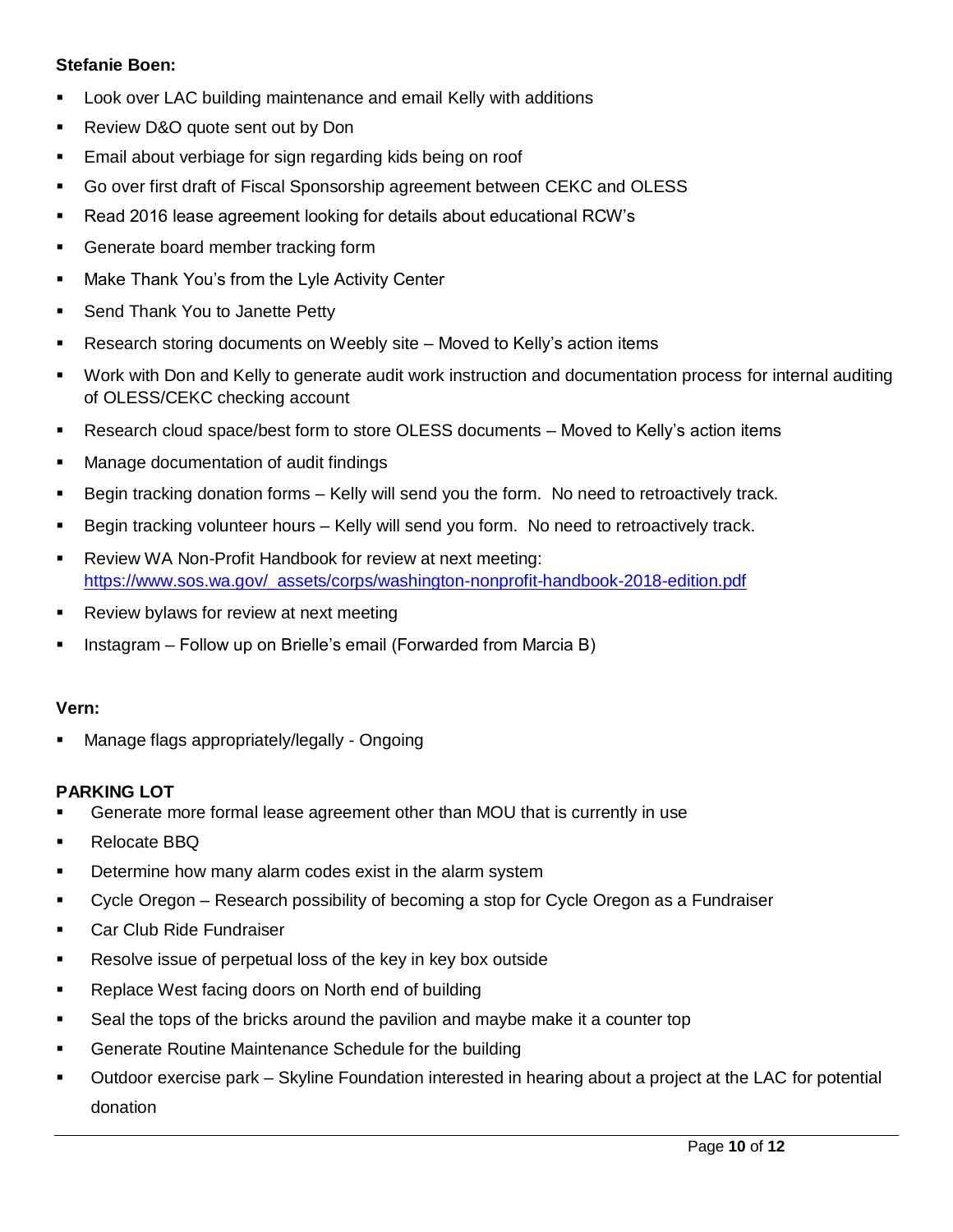## **Stefanie Boen:**

- Look over LAC building maintenance and email Kelly with additions
- **Review D&O quote sent out by Don**
- **Email about verbiage for sign regarding kids being on roof**
- Go over first draft of Fiscal Sponsorship agreement between CEKC and OLESS
- Read 2016 lease agreement looking for details about educational RCW's
- **Generate board member tracking form**
- **Make Thank You's from the Lyle Activity Center**
- **Send Thank You to Janette Petty**
- Research storing documents on Weebly site Moved to Kelly's action items
- Work with Don and Kelly to generate audit work instruction and documentation process for internal auditing of OLESS/CEKC checking account
- Research cloud space/best form to store OLESS documents Moved to Kelly's action items
- **Manage documentation of audit findings**
- Begin tracking donation forms Kelly will send you the form. No need to retroactively track.
- Begin tracking volunteer hours Kelly will send you form. No need to retroactively track.
- **-** Review WA Non-Profit Handbook for review at next meeting: [https://www.sos.wa.gov/\\_assets/corps/washington-nonprofit-handbook-2018-edition.pdf](https://www.sos.wa.gov/_assets/corps/washington-nonprofit-handbook-2018-edition.pdf)
- **Review bylaws for review at next meeting**
- Instagram Follow up on Brielle's email (Forwarded from Marcia B)

#### **Vern:**

Manage flags appropriately/legally - Ongoing

#### **PARKING LOT**

- Generate more formal lease agreement other than MOU that is currently in use
- Relocate BBQ
- Determine how many alarm codes exist in the alarm system
- Cycle Oregon Research possibility of becoming a stop for Cycle Oregon as a Fundraiser
- **Car Club Ride Fundraiser**
- **Resolve issue of perpetual loss of the key in key box outside**
- **Replace West facing doors on North end of building**
- Seal the tops of the bricks around the pavilion and maybe make it a counter top
- **Generate Routine Maintenance Schedule for the building**
- Outdoor exercise park Skyline Foundation interested in hearing about a project at the LAC for potential donation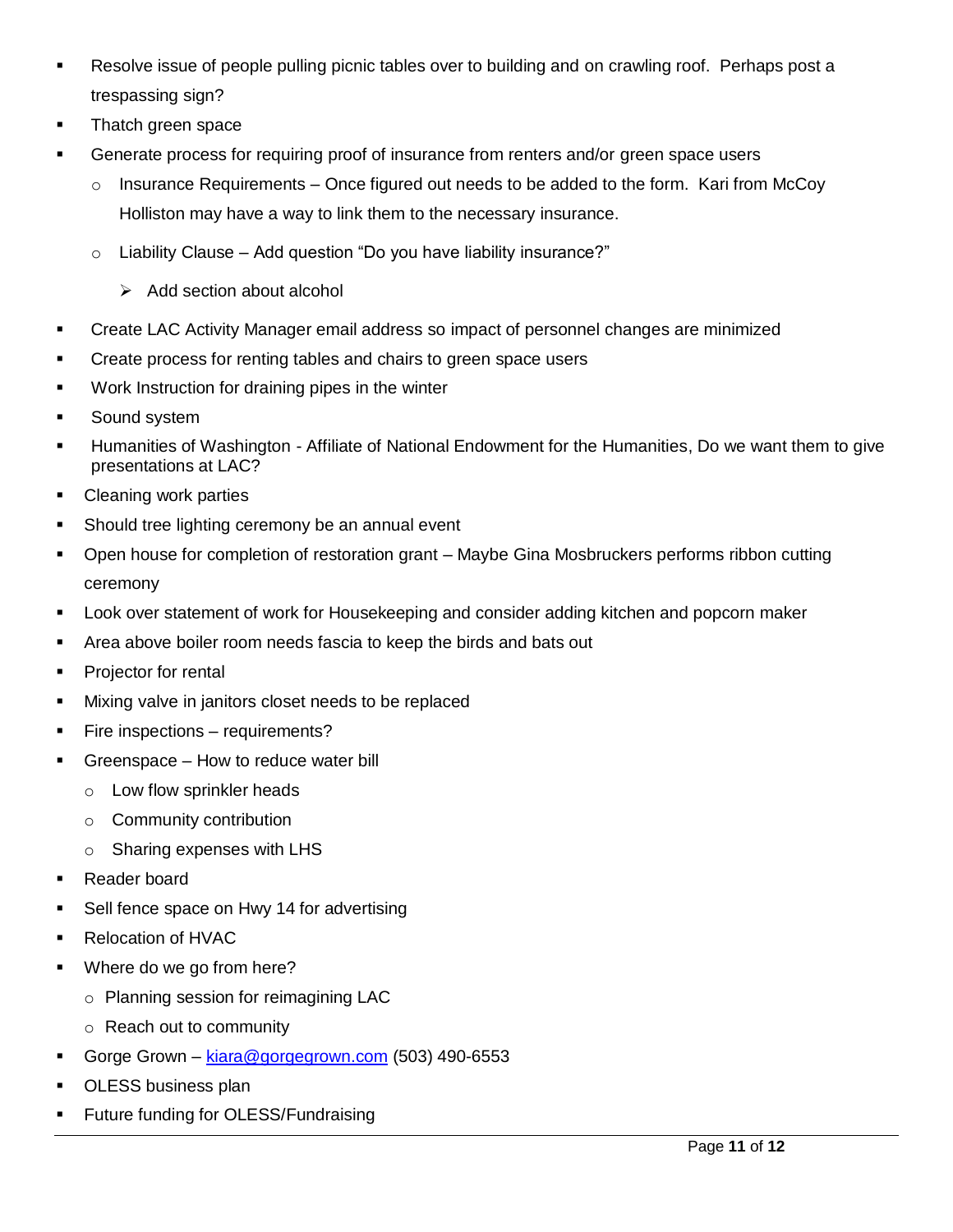- **Resolve issue of people pulling picnic tables over to building and on crawling roof. Perhaps post a** trespassing sign?
- **Thatch green space**
- Generate process for requiring proof of insurance from renters and/or green space users
	- $\circ$  Insurance Requirements Once figured out needs to be added to the form. Kari from McCoy Holliston may have a way to link them to the necessary insurance.
	- $\circ$  Liability Clause Add question "Do you have liability insurance?"
		- $\triangleright$  Add section about alcohol
- Create LAC Activity Manager email address so impact of personnel changes are minimized
- Create process for renting tables and chairs to green space users
- **Work Instruction for draining pipes in the winter**
- **Sound system**
- Humanities of Washington Affiliate of National Endowment for the Humanities, Do we want them to give presentations at LAC?
- **Cleaning work parties**
- **Should tree lighting ceremony be an annual event**
- Open house for completion of restoration grant Maybe Gina Mosbruckers performs ribbon cutting ceremony
- **Look over statement of work for Housekeeping and consider adding kitchen and popcorn maker**
- Area above boiler room needs fascia to keep the birds and bats out
- **Projector for rental**
- **Mixing valve in janitors closet needs to be replaced**
- **Fire inspections requirements?**
- Greenspace How to reduce water bill
	- o Low flow sprinkler heads
	- o Community contribution
	- o Sharing expenses with LHS
- Reader board
- Sell fence space on Hwy 14 for advertising
- Relocation of HVAC
- **Where do we go from here?** 
	- o Planning session for reimagining LAC
	- o Reach out to community
- Gorge Grown [kiara@gorgegrown.com](mailto:kiara@gorgegrown.com) (503) 490-6553
- **DESS business plan**
- **Future funding for OLESS/Fundraising**